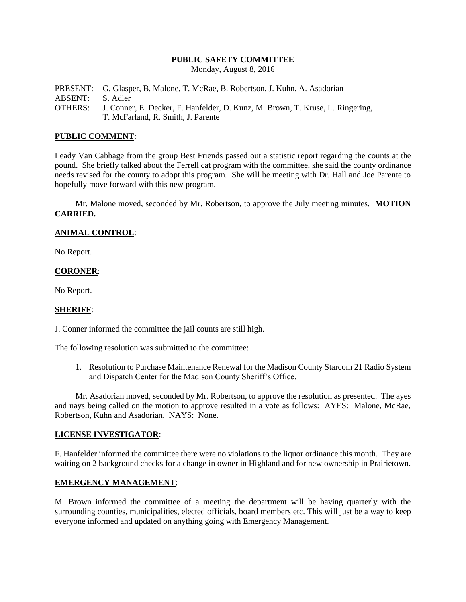#### **PUBLIC SAFETY COMMITTEE**

Monday, August 8, 2016

PRESENT: G. Glasper, B. Malone, T. McRae, B. Robertson, J. Kuhn, A. Asadorian ABSENT: S. Adler OTHERS: J. Conner, E. Decker, F. Hanfelder, D. Kunz, M. Brown, T. Kruse, L. Ringering, T. McFarland, R. Smith, J. Parente

### **PUBLIC COMMENT**:

Leady Van Cabbage from the group Best Friends passed out a statistic report regarding the counts at the pound. She briefly talked about the Ferrell cat program with the committee, she said the county ordinance needs revised for the county to adopt this program. She will be meeting with Dr. Hall and Joe Parente to hopefully move forward with this new program.

Mr. Malone moved, seconded by Mr. Robertson, to approve the July meeting minutes. **MOTION CARRIED.**

### **ANIMAL CONTROL**:

No Report.

### **CORONER**:

No Report.

# **SHERIFF**:

J. Conner informed the committee the jail counts are still high.

The following resolution was submitted to the committee:

1. Resolution to Purchase Maintenance Renewal for the Madison County Starcom 21 Radio System and Dispatch Center for the Madison County Sheriff's Office.

Mr. Asadorian moved, seconded by Mr. Robertson, to approve the resolution as presented. The ayes and nays being called on the motion to approve resulted in a vote as follows: AYES: Malone, McRae, Robertson, Kuhn and Asadorian. NAYS: None.

# **LICENSE INVESTIGATOR**:

F. Hanfelder informed the committee there were no violations to the liquor ordinance this month. They are waiting on 2 background checks for a change in owner in Highland and for new ownership in Prairietown.

# **EMERGENCY MANAGEMENT**:

M. Brown informed the committee of a meeting the department will be having quarterly with the surrounding counties, municipalities, elected officials, board members etc. This will just be a way to keep everyone informed and updated on anything going with Emergency Management.